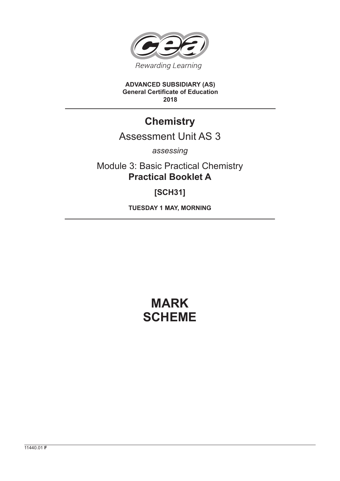

**ADVANCED SUBSIDIARY (AS) General Certificate of Education 2018**

## **Chemistry**

## Assessment Unit AS 3

*assessing*

Module 3: Basic Practical Chemistry **Practical Booklet A**

**[SCH31]**

**TUESDAY 1 MAY, MORNING**

## **MARK SCHEME**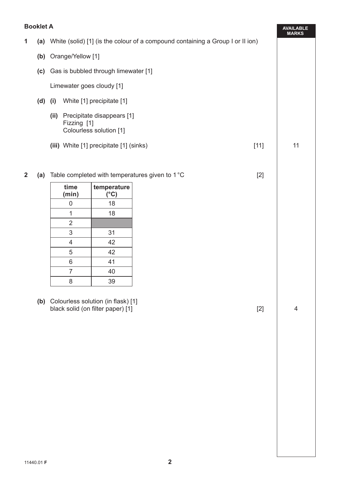## **Booklet A**

|              |     | DOOKIEL A                                               |                                                                                                    |                                                       |  |        |    |  |  |  |  |
|--------------|-----|---------------------------------------------------------|----------------------------------------------------------------------------------------------------|-------------------------------------------------------|--|--------|----|--|--|--|--|
| 1            |     |                                                         | <b>MARKS</b><br>(a) White (solid) [1] (is the colour of a compound containing a Group I or II ion) |                                                       |  |        |    |  |  |  |  |
|              |     | (b) Orange/Yellow [1]                                   |                                                                                                    |                                                       |  |        |    |  |  |  |  |
|              |     | (c) Gas is bubbled through limewater [1]                |                                                                                                    |                                                       |  |        |    |  |  |  |  |
|              |     | Limewater goes cloudy [1]                               |                                                                                                    |                                                       |  |        |    |  |  |  |  |
|              | (d) | (i)                                                     |                                                                                                    |                                                       |  |        |    |  |  |  |  |
|              |     | (ii)                                                    | Fizzing [1]                                                                                        | Precipitate disappears [1]<br>Colourless solution [1] |  |        |    |  |  |  |  |
|              |     |                                                         |                                                                                                    | (iii) White [1] precipitate [1] (sinks)               |  | $[11]$ | 11 |  |  |  |  |
| $\mathbf{2}$ | (a) | Table completed with temperatures given to 1°C<br>$[2]$ |                                                                                                    |                                                       |  |        |    |  |  |  |  |
|              |     |                                                         | time                                                                                               | temperature                                           |  |        |    |  |  |  |  |
|              |     |                                                         | (min)                                                                                              | $(^{\circ}C)$                                         |  |        |    |  |  |  |  |
|              |     |                                                         | $\mathbf 0$                                                                                        | 18                                                    |  |        |    |  |  |  |  |
|              |     |                                                         | 1                                                                                                  | 18                                                    |  |        |    |  |  |  |  |
|              |     |                                                         | $\overline{2}$                                                                                     |                                                       |  |        |    |  |  |  |  |
|              |     |                                                         | 3                                                                                                  | 31                                                    |  |        |    |  |  |  |  |
|              |     |                                                         | 4                                                                                                  | 42                                                    |  |        |    |  |  |  |  |
|              |     |                                                         | 5                                                                                                  | 42                                                    |  |        |    |  |  |  |  |

 **(b)** Colourless solution (in flask) [1] black solid (on filter paper) [1] **A** and the solid (on filter paper) [1] **A** and the solid (on filter paper) [1] **A** 

6 41 7 40 8 39